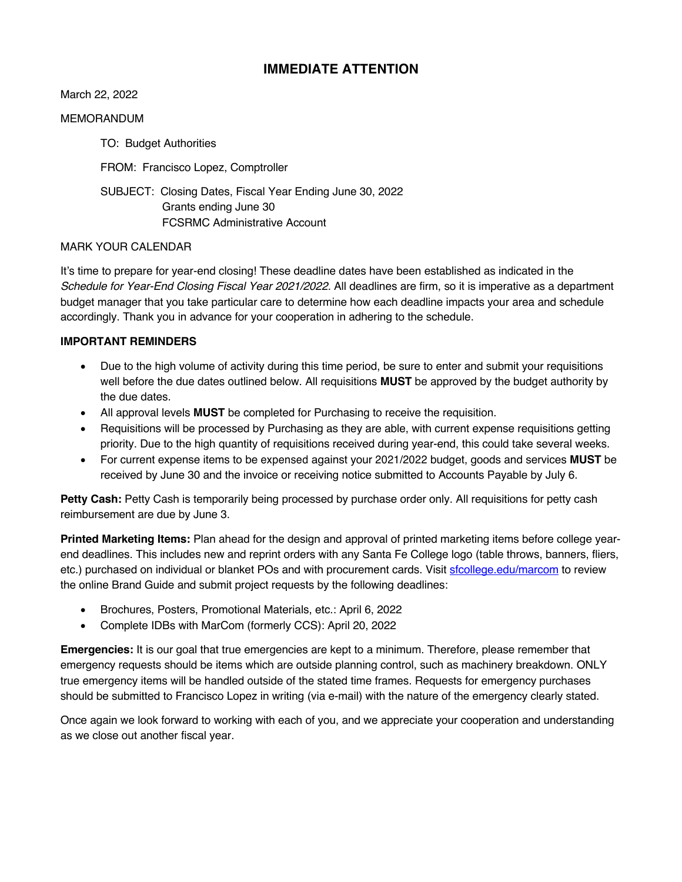### **IMMEDIATE ATTENTION**

March 22, 2022

#### MEMORANDUM

TO: Budget Authorities FROM: Francisco Lopez, Comptroller SUBJECT: Closing Dates, Fiscal Year Ending June 30, 2022 Grants ending June 30 FCSRMC Administrative Account

### MARK YOUR CALENDAR

It's time to prepare for year-end closing! These deadline dates have been established as indicated in the *Schedule for Year-End Closing Fiscal Year 2021/2022.* All deadlines are firm, so it is imperative as a department budget manager that you take particular care to determine how each deadline impacts your area and schedule accordingly. Thank you in advance for your cooperation in adhering to the schedule.

#### **IMPORTANT REMINDERS**

- Due to the high volume of activity during this time period, be sure to enter and submit your requisitions well before the due dates outlined below. All requisitions **MUST** be approved by the budget authority by the due dates.
- All approval levels **MUST** be completed for Purchasing to receive the requisition.
- Requisitions will be processed by Purchasing as they are able, with current expense requisitions getting priority. Due to the high quantity of requisitions received during year-end, this could take several weeks.
- For current expense items to be expensed against your 2021/2022 budget, goods and services **MUST** be received by June 30 and the invoice or receiving notice submitted to Accounts Payable by July 6.

**Petty Cash:** Petty Cash is temporarily being processed by purchase order only. All requisitions for petty cash reimbursement are due by June 3.

**Printed Marketing Items:** Plan ahead for the design and approval of printed marketing items before college yearend deadlines. This includes new and reprint orders with any Santa Fe College logo (table throws, banners, fliers, etc.) purchased on individual or blanket POs and with procurement cards. Visit sfcollege.edu/marcom to review the online Brand Guide and submit project requests by the following deadlines:

- Brochures, Posters, Promotional Materials, etc.: April 6, 2022
- Complete IDBs with MarCom (formerly CCS): April 20, 2022

**Emergencies:** It is our goal that true emergencies are kept to a minimum. Therefore, please remember that emergency requests should be items which are outside planning control, such as machinery breakdown. ONLY true emergency items will be handled outside of the stated time frames. Requests for emergency purchases should be submitted to Francisco Lopez in writing (via e-mail) with the nature of the emergency clearly stated.

Once again we look forward to working with each of you, and we appreciate your cooperation and understanding as we close out another fiscal year.